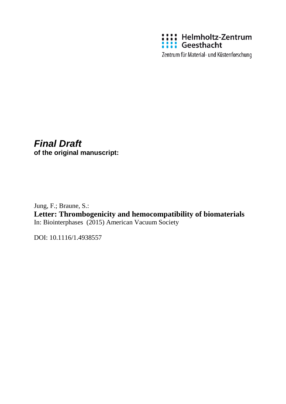

Zentrum für Material- und Küstenforschung

# *Final Draft*

**of the original manuscript:**

Jung, F.; Braune, S.: **Letter: Thrombogenicity and hemocompatibility of biomaterials** In: Biointerphases (2015) American Vacuum Society

DOI: 10.1116/1.4938557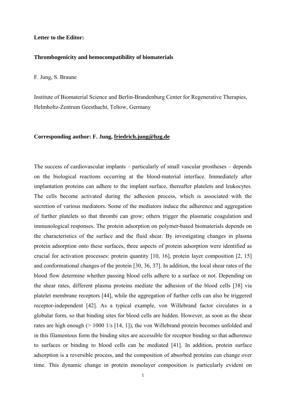### **Letter to the Editor:**

## **Thrombogenicity and hemocompatibility of biomaterials**

F. Jung, S. Braune

Institute of Biomaterial Science and Berlin-Brandenburg Center for Regenerative Therapies, Helmholtz-Zentrum Geesthacht, Teltow, Germany

### **Corresponding author: F. Jung, friedrich.jung@hzg.de**

The success of cardiovascular implants – particularly of small vascular prostheses – depends on the biological reactions occurring at the blood-material interface. Immediately after implantation proteins can adhere to the implant surface, thereafter platelets and leukocytes. The cells become activated during the adhesion process, which is associated with the secretion of various mediators. Some of the mediators induce the adherence and aggregation of further platelets so that thrombi can grow; others trigger the plasmatic coagulation and immunological responses. The protein adsorption on polymer-based biomaterials depends on the characteristics of the surface and the fluid shear. By investigating changes in plasma protein adsorption onto these surfaces, three aspects of protein adsorption were identified as crucial for activation processes: protein quantity [10, 16], protein layer composition [2, 15] and conformational changes of the protein [30, 36, 37]. In addition, the local shear rates of the blood flow determine whether passing blood cells adhere to a surface or not. Depending on the shear rates, different plasma proteins mediate the adhesion of the blood cells [38] via platelet membrane receptors [44], while the aggregation of further cells can also be triggered receptor-independent [42]. As a typical example, von Willebrand factor circulates in a globular form, so that binding sites for blood cells are hidden. However, as soon as the shear rates are high enough (> 1000 1/s [14, 1]), the von Willebrand protein becomes unfolded and in this filamentous form the binding sites are accessible for receptor binding so that adherence to surfaces or binding to blood cells can be mediated [41]. In addition, protein surface adsorption is a reversible process, and the composition of absorbed proteins can change over time. This dynamic change in protein monolayer composition is particularly evident on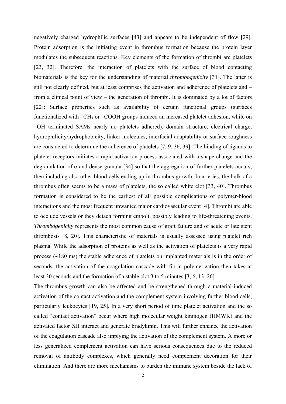negatively charged hydrophilic surfaces [43] and appears to be independent of flow [29]. Protein adsorption is the initiating event in thrombus formation because the protein layer modulates the subsequent reactions. Key elements of the formation of thrombi are platelets [23, 32]. Therefore, the interaction of platelets with the surface of blood contacting biomaterials is the key for the understanding of material *thrombogenicity* [31]. The latter is still not clearly defined, but at least comprises the activation and adherence of platelets and – from a clinical point of view – the generation of thrombi. It is dominated by a lot of factors [22]: Surface properties such as availability of certain functional groups (surfaces functionalized with –CH<sub>3</sub> or –COOH groups induced an increased platelet adhesion, while on –OH terminated SAMs nearly no platelets adhered), domain structure, electrical charge, hydrophilicity/hydrophobicity, linker molecules, interfacial adaptability or surface roughness are considered to determine the adherence of platelets [7, 9, 36, 39]. The binding of ligands to platelet receptors initiates a rapid activation process associated with a shape change and the degranulation of  $\alpha$  and dense granula [34] so that the aggregation of further platelets occurs, then including also other blood cells ending up in thrombus growth. In arteries, the bulk of a thrombus often seems to be a mass of platelets, the so called white clot [33, 40]. Thrombus formation is considered to be the earliest of all possible complications of polymer-blood interactions and the most frequent unwanted major cardiovascular event [4]. Thrombi are able to occlude vessels or they detach forming emboli, possibly leading to life-threatening events. *Thrombogenicity* represents the most common cause of graft failure and of acute or late stent thrombosis [8, 20]. This characteristic of materials is usually assessed using platelet rich plasma. While the adsorption of proteins as well as the activation of platelets is a very rapid process  $(\sim 180 \text{ ms})$  the stable adherence of platelets on implanted materials is in the order of seconds, the activation of the coagulation cascade with fibrin polymerization then takes at least 30 seconds and the formation of a stable clot 3 to 5 minutes [3, 6, 13, 26].

The thrombus growth can also be affected and be strengthened through a material-induced activation of the contact activation and the complement system involving further blood cells, particularly leukocytes [19, 25]. In a very short period of time platelet activation and the so called "contact activation" occur where high molecular weight kininogen (HMWK) and the activated factor XII interact and generate bradykinin. This will further enhance the activation of the coagulation cascade also implying the activation of the complement system. A more or less generalized complement activation can have serious consequences due to the reduced removal of antibody complexes, which generally need complement decoration for their elimination. And there are more mechanisms to burden the immune system beside the lack of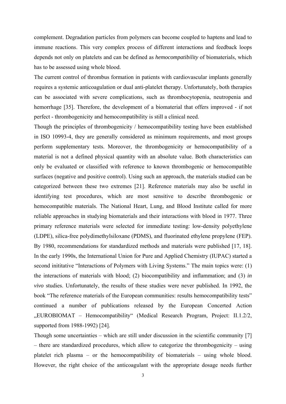complement. Degradation particles from polymers can become coupled to haptens and lead to immune reactions. This very complex process of different interactions and feedback loops depends not only on platelets and can be defined as *hemocompatibility* of biomaterials, which has to be assessed using whole blood.

The current control of thrombus formation in patients with cardiovascular implants generally requires a systemic anticoagulation or dual anti-platelet therapy. Unfortunately, both therapies can be associated with severe complications, such as thrombocytopenia, neutropenia and hemorrhage [35]. Therefore, the development of a biomaterial that offers improved - if not perfect - thrombogenicity and hemocompatibility is still a clinical need.

Though the principles of thrombogenicity / hemocompatibility testing have been established in ISO 10993-4, they are generally considered as minimum requirements, and most groups perform supplementary tests. Moreover, the thrombogenicity or hemocompatibility of a material is not a defined physical quantity with an absolute value. Both characteristics can only be evaluated or classified with reference to known thrombogenic or hemocompatible surfaces (negative and positive control). Using such an approach, the materials studied can be categorized between these two extremes [21]. Reference materials may also be useful in identifying test procedures, which are most sensitive to describe thrombogenic or hemocompatible materials. The National Heart, Lung, and Blood Institute called for more reliable approaches in studying biomaterials and their interactions with blood in 1977. Three primary reference materials were selected for immediate testing: low-density polyethylene (LDPE), silica-free polydimethylsiloxane (PDMS), and fluorinated ethylene propylene (FEP). By 1980, recommendations for standardized methods and materials were published [17, 18]. In the early 1990s, the International Union for Pure and Applied Chemistry (IUPAC) started a second inititative "Interactions of Polymers with Living Systems." The main topics were: (1) the interactions of materials with blood; (2) biocompatibility and inflammation; and (3) *in vivo* studies. Unfortunately, the results of these studies were never published. In 1992, the book "The reference materials of the European communities: results hemocompatibility tests" continued a number of publications released by the European Concerted Action "EUROBIOMAT – Hemocompatibility" (Medical Research Program, Project: II.1.2/2, supported from 1988-1992) [24].

Though some uncertainties – which are still under discussion in the scientific community [7] – there are standardized procedures, which allow to categorize the thrombogenicity – using platelet rich plasma – or the hemocompatibility of biomaterials – using whole blood. However, the right choice of the anticoagulant with the appropriate dosage needs further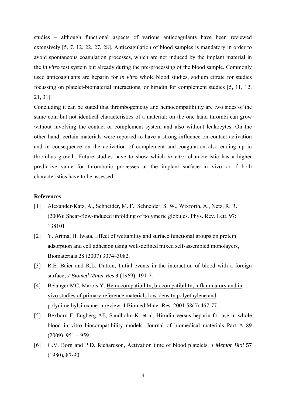studies – although functional aspects of various anticoagulants have been reviewed extensively [5, 7, 12, 22, 27, 28]. Anticoagulation of blood samples is mandatory in order to avoid spontaneous coagulation processes, which are not induced by the implant material in the *in vitro* test system but already during the pre-processing of the blood sample. Commonly used anticoagulants are heparin for *in vitro* whole blood studies, sodium citrate for studies focussing on platelet-biomaterial interactions, or hirudin for complement studies [5, 11, 12, 21, 31].

Concluding it can be stated that thrombogenicity and hemocompatibility are two sides of the same coin but not identical characteristics of a material: on the one hand thrombi can grow without involving the contact or complement system and also without leukocytes. On the other hand, certain materials were reported to have a strong influence on contact activation and in consequence on the activation of complement and coagulation also ending up in thrombus growth. Future studies have to show which *in vitro* characteristic has a higher predictive value for thrombotic processes at the implant surface in vivo or if both characteristics have to be assessed.

## **References**

- [1] Alexander-Katz, A., Schneider, M. F., Schneider, S. W., Wixforth, A., Netz, R. R. (2006): Shear-flow-induced unfolding of polymeric globules. Phys. Rev. Lett. 97: 138101
- [2] Y. Arima, H. Iwata, Effect of wettability and surface functional groups on protein adsorption and cell adhesion using well-defined mixed self-assembled monolayers, Biomaterials 28 (2007) 3074–3082.
- [3] R.E. Baier and R.L. Dutton, Initial events in the interaction of blood with a foreign surface, *J Biomed Mater Res* **3** (1969), 191-7.
- [4] Bélanger MC, Marois Y. Hemocompatibility, biocompatibility, inflammatory and in vivo studies of primary reference materials low-density polyethylene and polydimethylsiloxane: a review. J Biomed Mater Res. 2001;58(5):467-77.
- [5] Bexborn F, Engberg AE, Sandholm K, et al. Hirudin versus heparin for use in whole blood in vitro biocompatibility models. Journal of biomedical materials Part A 89  $(2009)$ ,  $951 - 959$ .
- [6] G.V. Born and P.D. Richardson, Activation time of blood platelets, *J Membr Biol* **57** (1980), 87-90.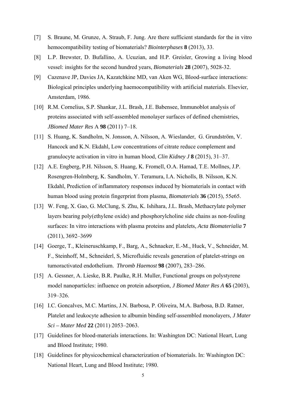- [7] S. Braune, M. Grunze, A. Straub, F. Jung. Are there sufficient standards for the in vitro hemocompatibility testing of biomaterials? *Biointerphases* **8** (2013), 33.
- [8] L.P. Brewster, D. Bufallino, A. Ucuzian, and H.P. Greisler, Growing a living blood vessel: insights for the second hundred years, *Biomaterials* **28** (2007), 5028-32.
- [9] Cazenave JP, Davies JA, Kazatchkine MD, van Aken WG, Blood-surface interactions: Biological principles underlying haemocompatibility with artificial materials. Elsevier, Amsterdam, 1986.
- [10] R.M. Cornelius, S.P. Shankar, J.L. Brash, J.E. Babensee, Immunoblot analysis of proteins associated with self-assembled monolayer surfaces of defined chemistries, *JBiomed Mater Res* A **98** (2011) 7–18.
- [11] S. Huang, K. Sandholm, N. Jonsson, A. Nilsson, A. Wieslander, G. Grundström, V. Hancock and K.N. Ekdahl, Low concentrations of citrate reduce complement and granulocyte activation in vitro in human blood, *Clin Kidney J* **8** (2015), 31–37.
- [12] A.E. Engberg, P.H. Nilsson, S. Huang, K. Fromell, O.A. Hamad, T.E. Mollnes, J.P. Rosengren-Holmberg, K. Sandholm, Y. Teramura, I.A. Nicholls, B. Nilsson, K.N. Ekdahl, Prediction of inflammatory responses induced by biomaterials in contact with human blood using protein fingerprint from plasma, *Biomaterials* **36** (2015), 55e65.
- [13] W. Feng, X. Gao, G. McClung, S. Zhu, K. Ishihara, J.L. Brash, Methacrylate polymer layers bearing poly(ethylene oxide) and phosphorylcholine side chains as non-fouling surfaces: In vitro interactions with plasma proteins and platelets, *Acta Biomaterialia* **7** (2011), 3692–3699
- [14] Goerge, T., Kleineruschkamp, F., Barg, A., Schnaeker, E.-M., Huck, V., Schneider, M. F., Steinhoff, M., Schneiderl, S, Microfluidic reveals generation of platelet-strings on tumoractivated endothelium. *Thromb Haemost* **98** (2007), 283–286.
- [15] A. Gessner, A. Lieske, B.R. Paulke, R.H. Muller, Functional groups on polystyrene model nanoparticles: influence on protein adsorption, *J Biomed Mater Res A* **65** (2003), 319–326.
- [16] I.C. Goncalves, M.C. Martins, J.N. Barbosa, P. Oliveira, M.A. Barbosa, B.D. Ratner, Platelet and leukocyte adhesion to albumin binding self-assembled monolayers, *J Mater Sci – Mater Med* **22** (2011) 2053–2063.
- [17] Guidelines for blood-materials interactions. In: Washington DC: National Heart, Lung and Blood Institute; 1980.
- [18] Guidelines for physicochemical characterization of biomaterials. In: Washington DC: National Heart, Lung and Blood Institute; 1980.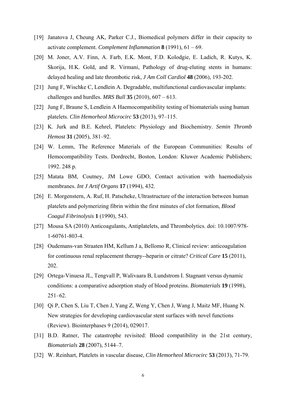- [19] Janatova J, Cheung AK, Parker C.J., Biomedical polymers differ in their capacity to activate complement. *Complement Inflammation* **8** (1991), 61 – 69.
- [20] M. Joner, A.V. Finn, A. Farb, E.K. Mont, F.D. Kolodgie, E. Ladich, R. Kutys, K. Skorija, H.K. Gold, and R. Virmani, Pathology of drug-eluting stents in humans: delayed healing and late thrombotic risk, *J Am Coll Cardiol* **48** (2006), 193-202.
- [21] Jung F, Wischke C, Lendlein A. Degradable, multifunctional cardiovascular implants: challenges and hurdles. *MRS Bull* **35** (2010), 607 – 613.
- [22] Jung F, Braune S, Lendlein A Haemocompatibility testing of biomaterials using human platelets. *Clin Hemorheol Microcirc* **53** (2013), 97–115.
- [23] K. Jurk and B.E. Kehrel, Platelets: Physiology and Biochemistry. *Semin Thromb Hemost* **31** (2005), 381–92.
- [24] W. Lemm, The Reference Materials of the European Communities: Results of Hemocompatibility Tests. Dordrecht, Boston, London: Kluwer Academic Publishers; 1992. 248 p.
- [25] Matata BM, Coutney, JM Lowe GDO, Contact activation with haemodialysis membranes. *Int J Artif Organs* **17** (1994), 432.
- [26] E. Morgenstern, A. Ruf, H. Patscheke, Ultrastructure of the interaction between human platelets and polymerizing fibrin within the first minutes of clot formation, *Blood Coagul Fibrinolysis* **1** (1990), 543.
- [27] Mousa SA (2010) Anticoagulants, Antiplatelets, and Thrombolytics. doi: 10.1007/978- 1-60761-803-4.
- [28] Oudemans-van Straaten HM, Kellum J a, Bellomo R, Clinical review: anticoagulation for continuous renal replacement therapy--heparin or citrate? *Critical Care* **15** (2011), 202.
- [29] Ortega-Vinuesa JL, Tengvall P, Walivaara B, Lundstrom I. Stagnant versus dynamic conditions: a comparative adsorption study of blood proteins. *Biomaterials* **19** (1998), 251–62.
- [30] Qi P, Chen S, Liu T, Chen J, Yang Z, Weng Y, Chen J, Wang J, Maitz MF, Huang N. New strategies for developing cardiovascular stent surfaces with novel functions (Review). Biointerphases 9 (2014), 029017.
- [31] B.D. Ratner, The catastrophe revisited: Blood compatibility in the 21st century, *Biomaterials* **28** (2007), 5144–7.
- [32] W. Reinhart, Platelets in vascular disease, *Clin Hemorheol Microcirc* **53** (2013), 71-79.